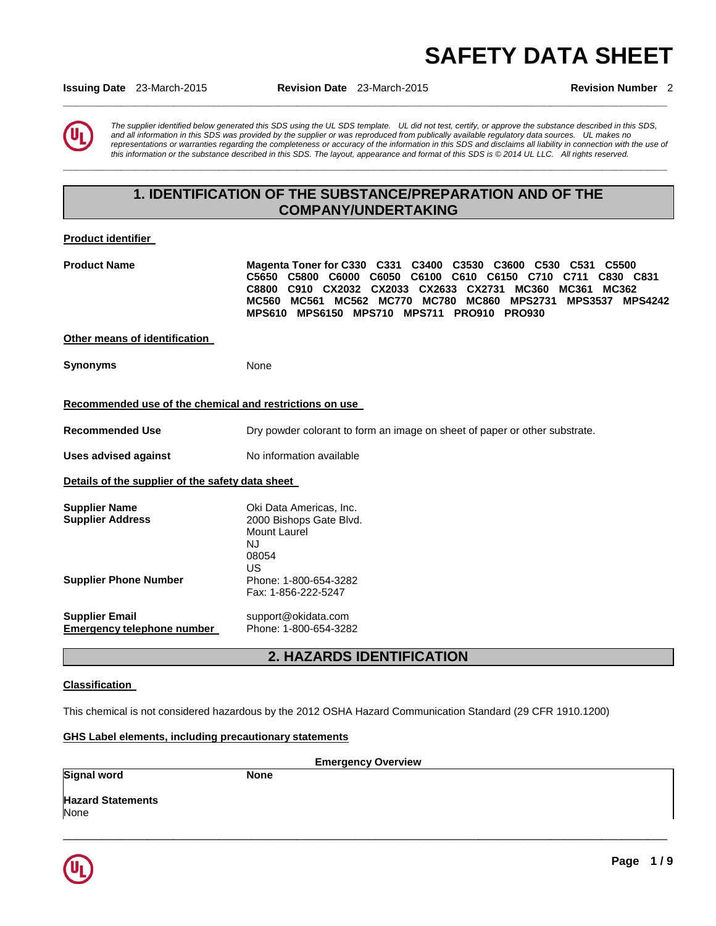# **SAFETY DATA SHEET**

**Issuing Date** 23-March-2015 **Revision Date** 23-March-2015 **Revision Number** 2

**\_\_\_\_\_\_\_\_\_\_\_\_\_\_\_\_\_\_\_\_\_\_\_\_\_\_\_\_\_\_\_\_\_\_\_\_\_\_\_\_\_\_\_\_\_\_\_\_\_\_\_\_\_\_\_\_\_\_\_\_\_\_\_\_\_\_\_\_\_\_\_\_\_\_\_\_\_\_\_\_\_\_\_\_\_\_\_\_\_\_\_\_\_** 

*The supplier identified below generated this SDS using the UL SDS template. UL did not test, certify, or approve the substance described in this SDS, and all information in this SDS was provided by the supplier or was reproduced from publically available regulatory data sources. UL makes no representations or warranties regarding the completeness or accuracy of the information in this SDS and disclaims all liability in connection with the use of this information or the substance described in this SDS. The layout, appearance and format of this SDS is © 2014 UL LLC. All rights reserved.* 

## **1. IDENTIFICATION OF THE SUBSTANCE/PREPARATION AND OF THE COMPANY/UNDERTAKING**

**\_\_\_\_\_\_\_\_\_\_\_\_\_\_\_\_\_\_\_\_\_\_\_\_\_\_\_\_\_\_\_\_\_\_\_\_\_\_\_\_\_\_\_\_\_\_\_\_\_\_\_\_\_\_\_\_\_\_\_\_\_\_\_\_\_\_\_\_\_\_\_\_\_\_\_\_\_\_\_\_\_\_\_\_\_\_\_\_\_\_\_\_\_** 

#### **Product identifier**

| <b>Product Name</b>                                     | Magenta Toner for C330 C331 C3400 C3530 C3600<br>C530<br>C <sub>531</sub><br>C <sub>5500</sub><br>C5650 C5800 C6000<br>C6050<br>C6100<br>C610 C6150 C710 C711<br>C830 C831<br>C910 CX2032 CX2033 CX2633 CX2731<br><b>MC360</b><br><b>C8800</b><br>MC361<br>MC362<br><b>MC560</b><br>MC561 MC562 MC770<br><b>MC780</b><br><b>MC860</b><br><b>MPS2731</b><br><b>MPS3537 MPS4242</b><br>MPS610 MPS6150 MPS710<br><b>MPS711</b><br><b>PRO910</b><br><b>PRO930</b> |
|---------------------------------------------------------|---------------------------------------------------------------------------------------------------------------------------------------------------------------------------------------------------------------------------------------------------------------------------------------------------------------------------------------------------------------------------------------------------------------------------------------------------------------|
| Other means of identification                           |                                                                                                                                                                                                                                                                                                                                                                                                                                                               |
| <b>Synonyms</b>                                         | None                                                                                                                                                                                                                                                                                                                                                                                                                                                          |
| Recommended use of the chemical and restrictions on use |                                                                                                                                                                                                                                                                                                                                                                                                                                                               |
| <b>Recommended Use</b>                                  | Dry powder colorant to form an image on sheet of paper or other substrate.                                                                                                                                                                                                                                                                                                                                                                                    |
| <b>Uses advised against</b>                             | No information available                                                                                                                                                                                                                                                                                                                                                                                                                                      |
| Details of the supplier of the safety data sheet        |                                                                                                                                                                                                                                                                                                                                                                                                                                                               |
| <b>Supplier Name</b><br><b>Supplier Address</b>         | Oki Data Americas, Inc.<br>2000 Bishops Gate Blvd.<br>Mount Laurel<br>NJ<br>08054<br>US                                                                                                                                                                                                                                                                                                                                                                       |
| <b>Supplier Phone Number</b>                            | Phone: 1-800-654-3282<br>Fax: 1-856-222-5247                                                                                                                                                                                                                                                                                                                                                                                                                  |
| <b>Supplier Email</b><br>Emergency telephone number     | support@okidata.com<br>Phone: 1-800-654-3282                                                                                                                                                                                                                                                                                                                                                                                                                  |

## **2. HAZARDS IDENTIFICATION**

#### **Classification**

This chemical is not considered hazardous by the 2012 OSHA Hazard Communication Standard (29 CFR 1910.1200)

#### **GHS Label elements, including precautionary statements**

| <b>Emergency Overview</b>        |             |  |
|----------------------------------|-------------|--|
| <b>Signal word</b>               | <b>None</b> |  |
| <b>Hazard Statements</b><br>None |             |  |

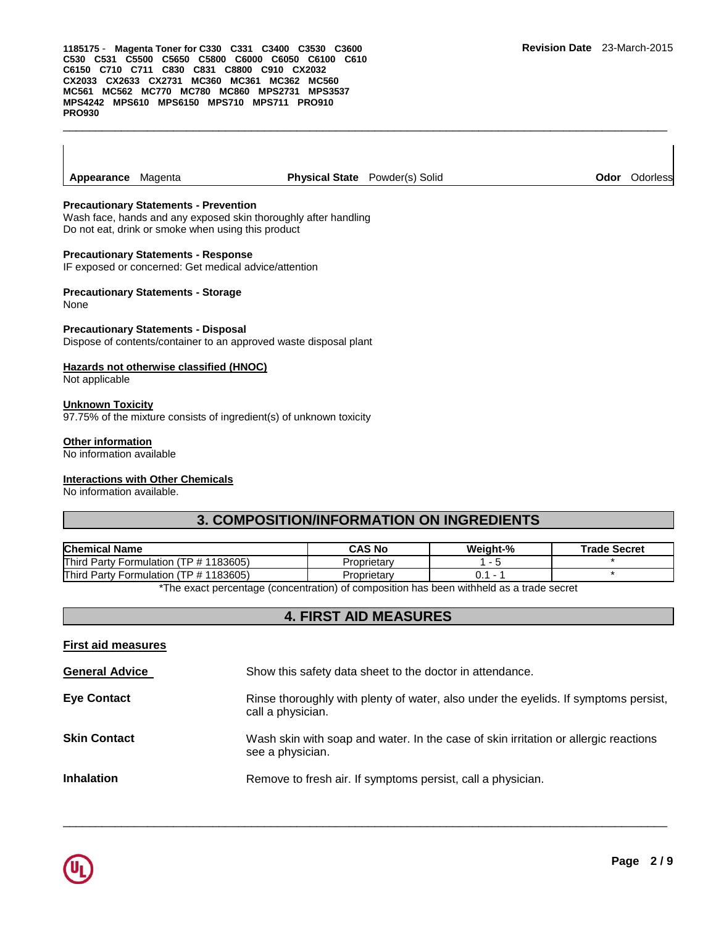**Appearance** Magenta **Physical State** Powder(s) Solid **Odor** Odorless

\_\_\_\_\_\_\_\_\_\_\_\_\_\_\_\_\_\_\_\_\_\_\_\_\_\_\_\_\_\_\_\_\_\_\_\_\_\_\_\_\_\_\_\_\_\_\_\_\_\_\_\_\_\_\_\_\_\_\_\_\_\_\_\_\_\_\_\_\_\_\_\_\_\_\_\_\_\_\_\_\_\_\_\_\_\_\_\_\_\_\_\_\_

#### **Precautionary Statements - Prevention**

Wash face, hands and any exposed skin thoroughly after handling Do not eat, drink or smoke when using this product

#### **Precautionary Statements - Response**

IF exposed or concerned: Get medical advice/attention

### **Precautionary Statements - Storage**

None

#### **Precautionary Statements - Disposal**

Dispose of contents/container to an approved waste disposal plant

#### **Hazards not otherwise classified (HNOC)**

Not applicable

#### **Unknown Toxicity**

97.75% of the mixture consists of ingredient(s) of unknown toxicity

#### **Other information**

No information available

### **Interactions with Other Chemicals**

No information available.

## **3. COMPOSITION/INFORMATION ON INGREDIENTS**

| <b>Chemical Name</b>                             | <b>CAS No</b> | Weight-% | <b>Trade Secret</b> |
|--------------------------------------------------|---------------|----------|---------------------|
| Third Party Formulation (<br>(TP # 1183605)      | Proprietary   |          |                     |
| Third<br>(TP # 1183605)<br>l Party Formulation ( | Proprietary   |          |                     |

\*The exact percentage (concentration) of composition has been withheld as a trade secret

## **4. FIRST AID MEASURES**

#### **First aid measures**

| <b>General Advice</b> | Show this safety data sheet to the doctor in attendance.                                                 |
|-----------------------|----------------------------------------------------------------------------------------------------------|
| <b>Eye Contact</b>    | Rinse thoroughly with plenty of water, also under the eyelids. If symptoms persist,<br>call a physician. |
| <b>Skin Contact</b>   | Wash skin with soap and water. In the case of skin irritation or allergic reactions<br>see a physician.  |
| <b>Inhalation</b>     | Remove to fresh air. If symptoms persist, call a physician.                                              |

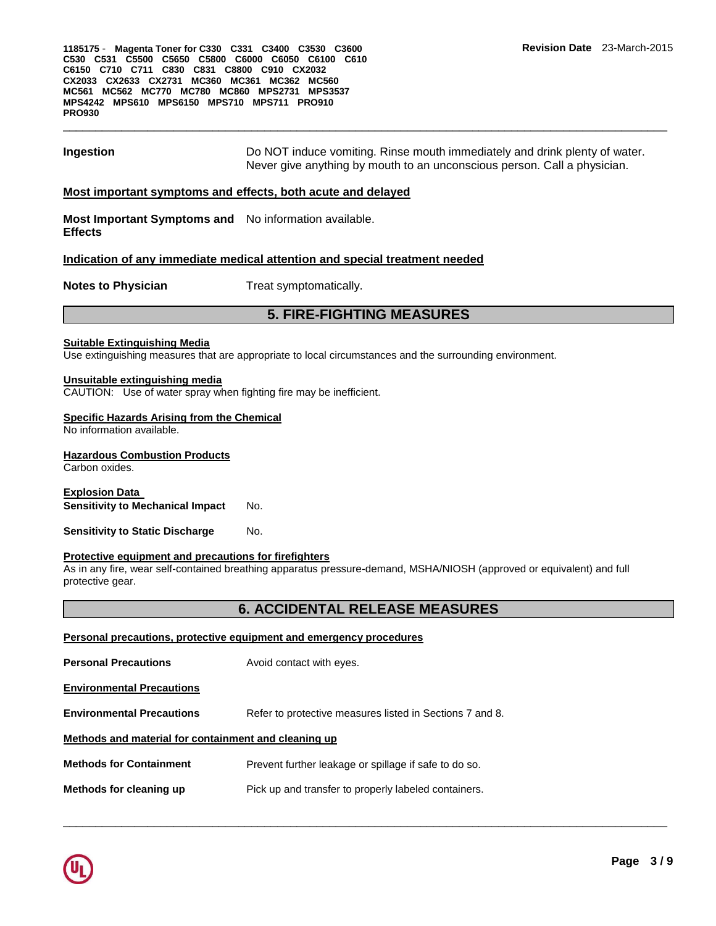## **Ingestion Do NOT** induce vomiting. Rinse mouth immediately and drink plenty of water. Never give anything by mouth to an unconscious person. Call a physician.

#### **Most important symptoms and effects, both acute and delayed**

**Most Important Symptoms and**  No information available. **Effects** 

#### **Indication of any immediate medical attention and special treatment needed**

**Notes to Physician**  Treat symptomatically.

## **5. FIRE-FIGHTING MEASURES**

#### **Suitable Extinguishing Media**

Use extinguishing measures that are appropriate to local circumstances and the surrounding environment.

#### **Unsuitable extinguishing media**

CAUTION: Use of water spray when fighting fire may be inefficient.

#### **Specific Hazards Arising from the Chemical**

No information available.

#### **Hazardous Combustion Products**

Carbon oxides.

**Explosion Data Sensitivity to Mechanical Impact** No.

**Sensitivity to Static Discharge Mo.** 

#### **Protective equipment and precautions for firefighters**

As in any fire, wear self-contained breathing apparatus pressure-demand, MSHA/NIOSH (approved or equivalent) and full protective gear.

#### **6. ACCIDENTAL RELEASE MEASURES**

| Personal precautions, protective equipment and emergency procedures |                                                          |  |
|---------------------------------------------------------------------|----------------------------------------------------------|--|
| <b>Personal Precautions</b>                                         | Avoid contact with eyes.                                 |  |
| <b>Environmental Precautions</b>                                    |                                                          |  |
| <b>Environmental Precautions</b>                                    | Refer to protective measures listed in Sections 7 and 8. |  |
| Methods and material for containment and cleaning up                |                                                          |  |
| <b>Methods for Containment</b>                                      | Prevent further leakage or spillage if safe to do so.    |  |
| Methods for cleaning up                                             | Pick up and transfer to properly labeled containers.     |  |

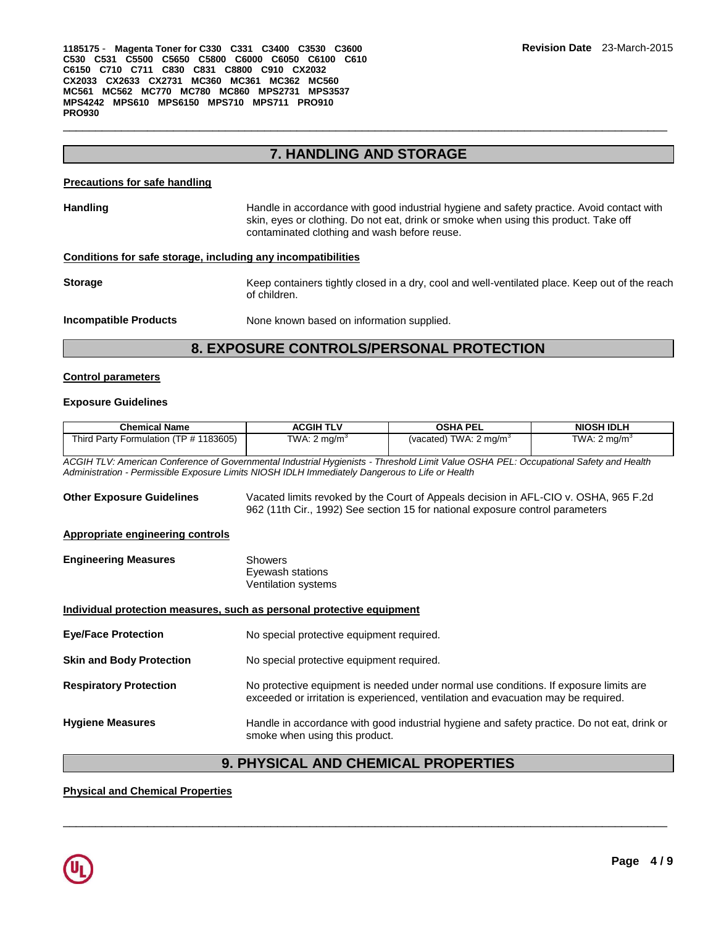## **7. HANDLING AND STORAGE**

\_\_\_\_\_\_\_\_\_\_\_\_\_\_\_\_\_\_\_\_\_\_\_\_\_\_\_\_\_\_\_\_\_\_\_\_\_\_\_\_\_\_\_\_\_\_\_\_\_\_\_\_\_\_\_\_\_\_\_\_\_\_\_\_\_\_\_\_\_\_\_\_\_\_\_\_\_\_\_\_\_\_\_\_\_\_\_\_\_\_\_\_\_

#### **Precautions for safe handling**

| <b>Handling</b> | Handle in accordance with good industrial hygiene and safety practice. Avoid contact with<br>skin, eyes or clothing. Do not eat, drink or smoke when using this product. Take off<br>contaminated clothing and wash before reuse. |
|-----------------|-----------------------------------------------------------------------------------------------------------------------------------------------------------------------------------------------------------------------------------|
|                 |                                                                                                                                                                                                                                   |

### **Conditions for safe storage, including any incompatibilities**

**Storage Keep containers tightly closed in a dry, cool and well-ventilated place. Keep out of the reach ventilated place.** of children.

**Incompatible Products** None known based on information supplied.

## **8. EXPOSURE CONTROLS/PERSONAL PROTECTION**

#### **Control parameters**

#### **Exposure Guidelines**

| <b>Chemical Name</b>                                                                                                                                                                                                                     | <b>ACGIH TLV</b>                                   | <b>OSHA PEL</b>                                                                                                                                                             | <b>NIOSH IDLH</b>       |
|------------------------------------------------------------------------------------------------------------------------------------------------------------------------------------------------------------------------------------------|----------------------------------------------------|-----------------------------------------------------------------------------------------------------------------------------------------------------------------------------|-------------------------|
| Third Party Formulation (TP # 1183605)                                                                                                                                                                                                   | TWA: $2 \text{ mg/m}^3$                            | (vacated) TWA: $2 \text{ mg/m}^3$                                                                                                                                           | TWA: $2 \text{ mq/m}^3$ |
| ACGIH TLV: American Conference of Governmental Industrial Hygienists - Threshold Limit Value OSHA PEL: Occupational Safety and Health<br>Administration - Permissible Exposure Limits NIOSH IDLH Immediately Dangerous to Life or Health |                                                    |                                                                                                                                                                             |                         |
| <b>Other Exposure Guidelines</b>                                                                                                                                                                                                         |                                                    | Vacated limits revoked by the Court of Appeals decision in AFL-CIO v. OSHA, 965 F.2d<br>962 (11th Cir., 1992) See section 15 for national exposure control parameters       |                         |
| <b>Appropriate engineering controls</b>                                                                                                                                                                                                  |                                                    |                                                                                                                                                                             |                         |
| <b>Engineering Measures</b>                                                                                                                                                                                                              | Showers<br>Eyewash stations<br>Ventilation systems |                                                                                                                                                                             |                         |
| Individual protection measures, such as personal protective equipment                                                                                                                                                                    |                                                    |                                                                                                                                                                             |                         |
| <b>Eye/Face Protection</b>                                                                                                                                                                                                               | No special protective equipment required.          |                                                                                                                                                                             |                         |
| <b>Skin and Body Protection</b>                                                                                                                                                                                                          | No special protective equipment required.          |                                                                                                                                                                             |                         |
| <b>Respiratory Protection</b>                                                                                                                                                                                                            |                                                    | No protective equipment is needed under normal use conditions. If exposure limits are<br>exceeded or irritation is experienced, ventilation and evacuation may be required. |                         |
| <b>Hygiene Measures</b>                                                                                                                                                                                                                  | smoke when using this product.                     | Handle in accordance with good industrial hygiene and safety practice. Do not eat, drink or                                                                                 |                         |

## **9. PHYSICAL AND CHEMICAL PROPERTIES**

\_\_\_\_\_\_\_\_\_\_\_\_\_\_\_\_\_\_\_\_\_\_\_\_\_\_\_\_\_\_\_\_\_\_\_\_\_\_\_\_\_\_\_\_\_\_\_\_\_\_\_\_\_\_\_\_\_\_\_\_\_\_\_\_\_\_\_\_\_\_\_\_\_\_\_\_\_\_\_\_\_\_\_\_\_\_\_\_\_\_\_\_\_

## **Physical and Chemical Properties**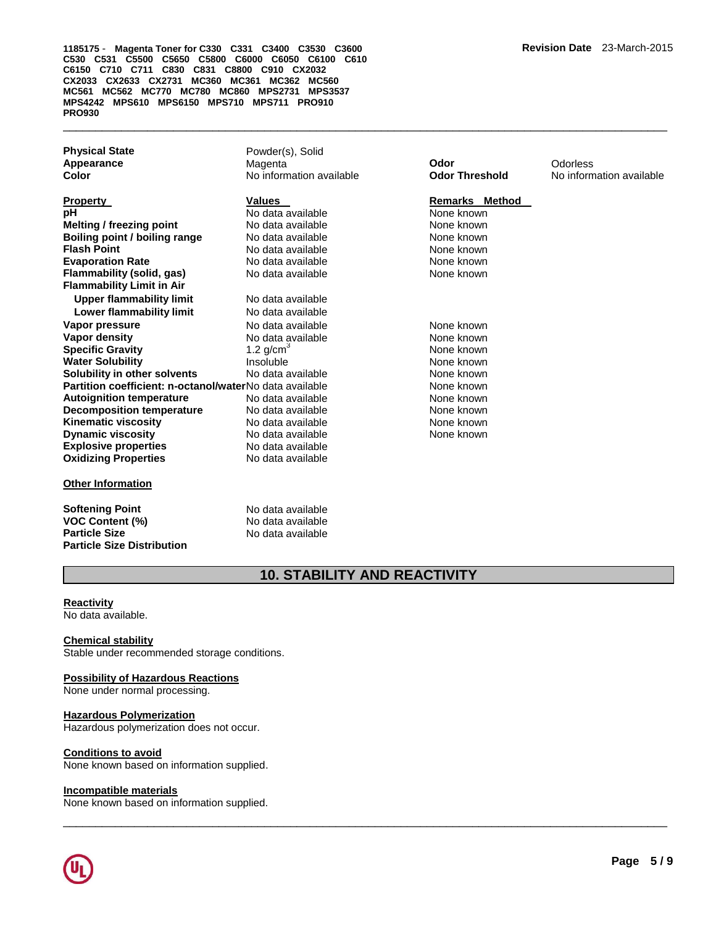| <b>Physical State</b> |  |
|-----------------------|--|
| Appearance            |  |
| Color                 |  |

**Property Construction Construction Construction Values According Property Remarks Method Property pH Notata available Notational Mone known None known Melting / freezing point No data available None known Boiling point / boiling range Modata available Mone Known None known Flash Point No data available None known None known Evaporation Rate No data available None known Flammability (solid, gas)** No data available None known None known **Flammability Limit in Air Upper flammability limit** No data available **Lower flammability limit** No data available **Vapor pressure No data available None known Vapor density No data available None known Specific Gravity 1.2 g/cm<sup>3</sup> None known** None known **Water Solubility 19th Contract Contract Contract Contract Contract Contract Contract Contract Contract Contract Contract Contract Contract Contract Contract Contract Contract Contract Contract Contract Contract Contract C Solubility in other solvents** No data available None known **Partition coefficient: n-octanol/water No data available None None known Autoignition temperature 1992 Contains Autority None known Decomposition temperature** No data available **None known Kinematic viscosity 6 (No data available None known None known None known None known None known None known None known Dynamic viscosity No data available None known Explosive properties**<br> **Oxidizing Properties**<br>
No data available **Oxidizing Properties** 

#### **Other Information**

**Softening Point No data available VOC Content (%)** No data available<br> **Particle Size** No data available **Particle Size Distribution** 

Powder(s), Solid **Appearance** Magenta **Odor** Odorless **Color** No information available **Odor Threshold** No information available

**Particle Size** No data available

## **10. STABILITY AND REACTIVITY**

\_\_\_\_\_\_\_\_\_\_\_\_\_\_\_\_\_\_\_\_\_\_\_\_\_\_\_\_\_\_\_\_\_\_\_\_\_\_\_\_\_\_\_\_\_\_\_\_\_\_\_\_\_\_\_\_\_\_\_\_\_\_\_\_\_\_\_\_\_\_\_\_\_\_\_\_\_\_\_\_\_\_\_\_\_\_\_\_\_\_\_\_\_

#### **Reactivity**

No data available.

#### **Chemical stability**

Stable under recommended storage conditions.

#### **Possibility of Hazardous Reactions**

None under normal processing.

#### **Hazardous Polymerization**

Hazardous polymerization does not occur.

### **Conditions to avoid**

None known based on information supplied.

#### **Incompatible materials**

None known based on information supplied.

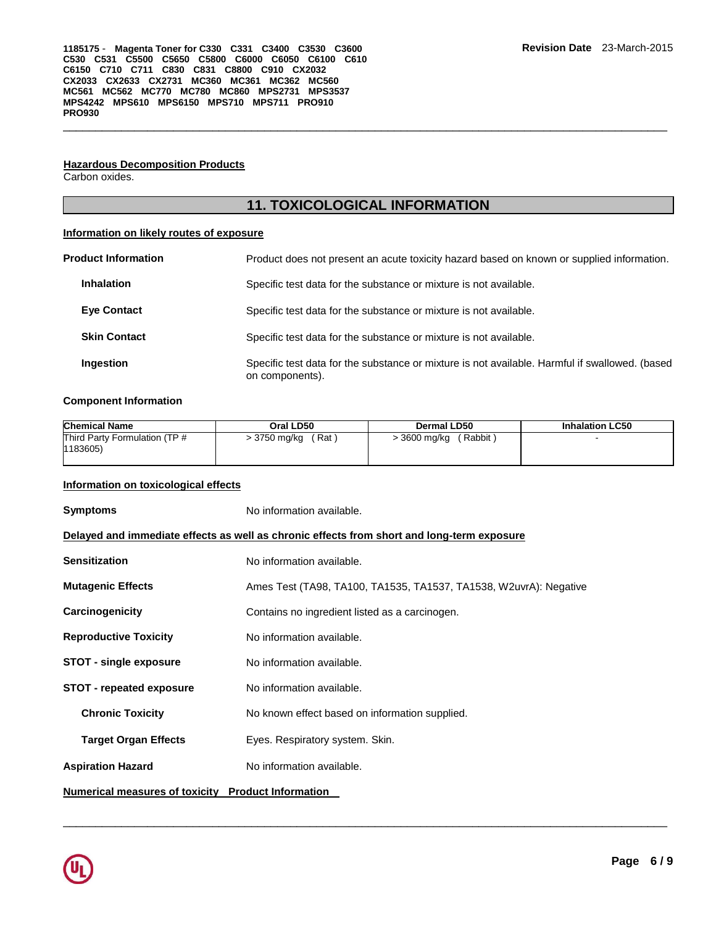#### **Hazardous Decomposition Products**

Carbon oxides.

## **11. TOXICOLOGICAL INFORMATION**

\_\_\_\_\_\_\_\_\_\_\_\_\_\_\_\_\_\_\_\_\_\_\_\_\_\_\_\_\_\_\_\_\_\_\_\_\_\_\_\_\_\_\_\_\_\_\_\_\_\_\_\_\_\_\_\_\_\_\_\_\_\_\_\_\_\_\_\_\_\_\_\_\_\_\_\_\_\_\_\_\_\_\_\_\_\_\_\_\_\_\_\_\_

## **Information on likely routes of exposure**

| <b>Product Information</b> | Product does not present an acute toxicity hazard based on known or supplied information.                         |
|----------------------------|-------------------------------------------------------------------------------------------------------------------|
| <b>Inhalation</b>          | Specific test data for the substance or mixture is not available.                                                 |
| <b>Eye Contact</b>         | Specific test data for the substance or mixture is not available.                                                 |
| <b>Skin Contact</b>        | Specific test data for the substance or mixture is not available.                                                 |
| Ingestion                  | Specific test data for the substance or mixture is not available. Harmful if swallowed. (based<br>on components). |

#### **Component Information**

| <b>Chemical Name</b>          | Oral LD50    | Dermal LD50  | <b>Inhalation LC50</b> |
|-------------------------------|--------------|--------------|------------------------|
| Third Party Formulation (TP # | Rat          | Rabbit       |                        |
| 1183605)                      | > 3750 mg/kg | > 3600 mg/kg |                        |

#### **Information on toxicological effects**

**Symptoms** No information available. **Delayed and immediate effects as well as chronic effects from short and long-term exposure Sensitization No information available. Mutagenic Effects** Ames Test (TA98, TA100, TA1535, TA1537, TA1538, W2uvrA): Negative **Carcinogenicity** Contains no ingredient listed as a carcinogen. **Reproductive Toxicity No information available. STOT - single exposure** No information available. **STOT - repeated exposure** No information available. **Chronic Toxicity No known effect based on information supplied. Target Organ Effects** Eyes. Respiratory system. Skin. Aspiration Hazard **No information available. Numerical measures of toxicity Product Information** 

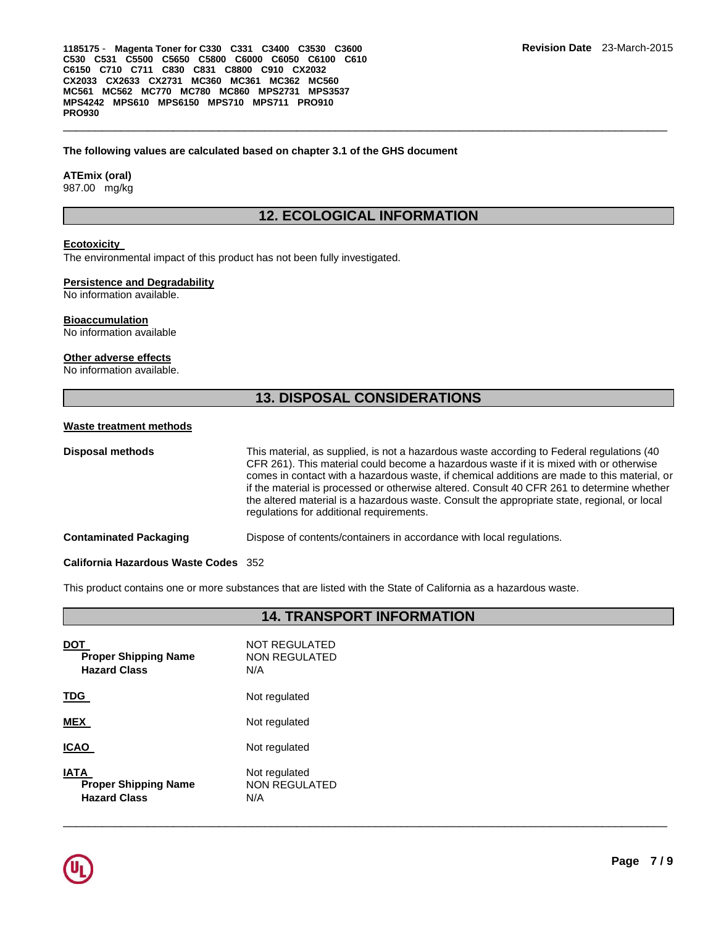#### **The following values are calculated based on chapter 3.1 of the GHS document**

#### **ATEmix (oral)**

987.00 mg/kg

## **12. ECOLOGICAL INFORMATION**

\_\_\_\_\_\_\_\_\_\_\_\_\_\_\_\_\_\_\_\_\_\_\_\_\_\_\_\_\_\_\_\_\_\_\_\_\_\_\_\_\_\_\_\_\_\_\_\_\_\_\_\_\_\_\_\_\_\_\_\_\_\_\_\_\_\_\_\_\_\_\_\_\_\_\_\_\_\_\_\_\_\_\_\_\_\_\_\_\_\_\_\_\_

#### **Ecotoxicity**

The environmental impact of this product has not been fully investigated.

#### **Persistence and Degradability**

No information available.

#### **Bioaccumulation**

No information available

#### **Other adverse effects**

No information available.

## **13. DISPOSAL CONSIDERATIONS**

#### **Waste treatment methods**

| Disposal methods       | This material, as supplied, is not a hazardous waste according to Federal regulations (40)<br>CFR 261). This material could become a hazardous waste if it is mixed with or otherwise<br>comes in contact with a hazardous waste, if chemical additions are made to this material, or<br>if the material is processed or otherwise altered. Consult 40 CFR 261 to determine whether<br>the altered material is a hazardous waste. Consult the appropriate state, regional, or local<br>regulations for additional requirements. |
|------------------------|---------------------------------------------------------------------------------------------------------------------------------------------------------------------------------------------------------------------------------------------------------------------------------------------------------------------------------------------------------------------------------------------------------------------------------------------------------------------------------------------------------------------------------|
| Contaminated Packaging | Dispose of contents/containers in accordance with local regulations.                                                                                                                                                                                                                                                                                                                                                                                                                                                            |
|                        |                                                                                                                                                                                                                                                                                                                                                                                                                                                                                                                                 |

#### **California Hazardous Waste Codes** 352

This product contains one or more substances that are listed with the State of California as a hazardous waste.

|                                                                   | <b>14. TRANSPORT INFORMATION</b>             |
|-------------------------------------------------------------------|----------------------------------------------|
| <u>DOT</u><br><b>Proper Shipping Name</b><br><b>Hazard Class</b>  | <b>NOT REGULATED</b><br>NON REGULATED<br>N/A |
| <u>TDG</u>                                                        | Not regulated                                |
| <b>MEX</b>                                                        | Not regulated                                |
| <b>ICAO</b>                                                       | Not regulated                                |
| <b>IATA</b><br><b>Proper Shipping Name</b><br><b>Hazard Class</b> | Not regulated<br><b>NON REGULATED</b><br>N/A |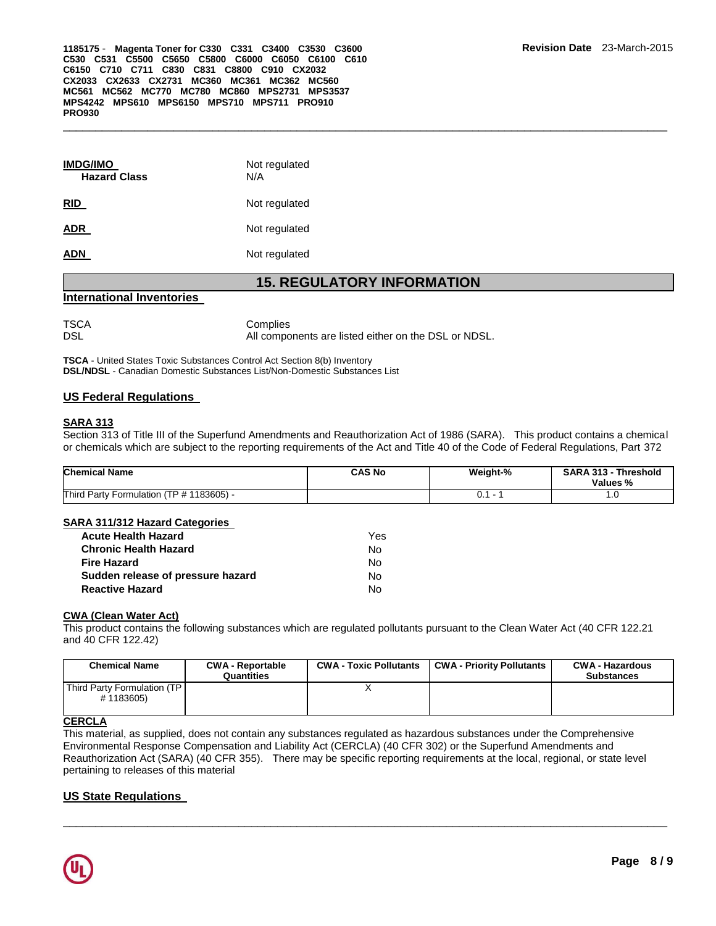| <b>IMDG/IMO</b><br><b>Hazard Class</b> | Not regulated<br>N/A |
|----------------------------------------|----------------------|
| <b>RID</b>                             | Not regulated        |
| ADR                                    | Not regulated        |
| ADN                                    | Not regulated        |
|                                        |                      |

## **15. REGULATORY INFORMATION**

#### **International Inventories**

TSCA Complies

DSL DSL **DISL COMPONENTS** All components are listed either on the DSL or NDSL.

**TSCA** - United States Toxic Substances Control Act Section 8(b) Inventory **DSL/NDSL** - Canadian Domestic Substances List/Non-Domestic Substances List

## **US Federal Regulations**

### **SARA 313**

Section 313 of Title III of the Superfund Amendments and Reauthorization Act of 1986 (SARA). This product contains a chemical or chemicals which are subject to the reporting requirements of the Act and Title 40 of the Code of Federal Regulations, Part 372

| <b>Chemical Name</b>                     | <b>CAS No</b> | Weight-% | <b>SARA 313 - Threshold</b><br>Values % |
|------------------------------------------|---------------|----------|-----------------------------------------|
| Third Party Formulation (TP # 1183605) - |               |          | ט.ו                                     |

#### **SARA 311/312 Hazard Categories**

| <b>Acute Health Hazard</b>        | Yes. |
|-----------------------------------|------|
| <b>Chronic Health Hazard</b>      | N٥   |
| <b>Fire Hazard</b>                | No.  |
| Sudden release of pressure hazard | N٥   |
| <b>Reactive Hazard</b>            | N٥   |

#### **CWA (Clean Water Act)**

This product contains the following substances which are regulated pollutants pursuant to the Clean Water Act (40 CFR 122.21 and 40 CFR 122.42)

| <b>Chemical Name</b>                      | <b>CWA - Reportable</b><br>Quantities | <b>CWA - Toxic Pollutants</b> | <b>CWA - Priority Pollutants</b> | CWA - Hazardous<br><b>Substances</b> |
|-------------------------------------------|---------------------------------------|-------------------------------|----------------------------------|--------------------------------------|
| Third Party Formulation (TP)<br>#1183605) |                                       |                               |                                  |                                      |

## **CERCLA**

This material, as supplied, does not contain any substances regulated as hazardous substances under the Comprehensive Environmental Response Compensation and Liability Act (CERCLA) (40 CFR 302) or the Superfund Amendments and Reauthorization Act (SARA) (40 CFR 355). There may be specific reporting requirements at the local, regional, or state level pertaining to releases of this material

\_\_\_\_\_\_\_\_\_\_\_\_\_\_\_\_\_\_\_\_\_\_\_\_\_\_\_\_\_\_\_\_\_\_\_\_\_\_\_\_\_\_\_\_\_\_\_\_\_\_\_\_\_\_\_\_\_\_\_\_\_\_\_\_\_\_\_\_\_\_\_\_\_\_\_\_\_\_\_\_\_\_\_\_\_\_\_\_\_\_\_\_\_

## **US State Regulations**